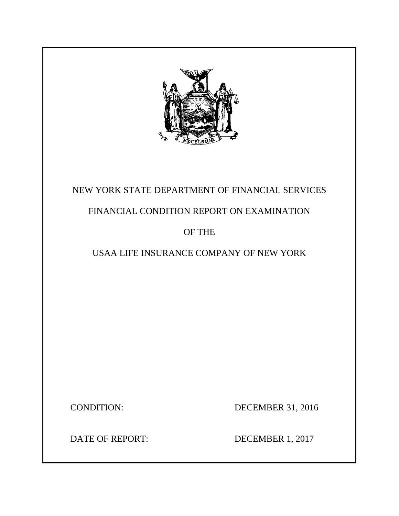

## NEW YORK STATE DEPARTMENT OF FINANCIAL SERVICES

## FINANCIAL CONDITION REPORT ON EXAMINATION

## OF THE

## USAA LIFE INSURANCE COMPANY OF NEW YORK

CONDITION: DECEMBER 31, 2016

DATE OF REPORT: DECEMBER 1, 2017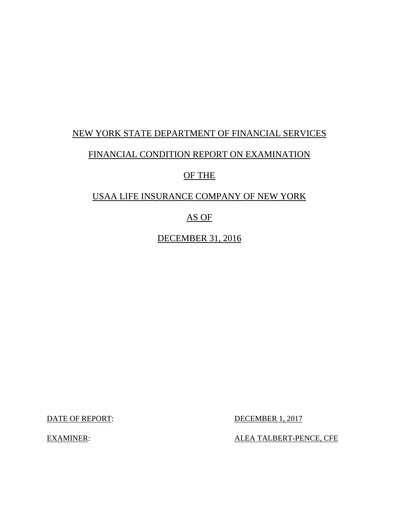## NEW YORK STATE DEPARTMENT OF FINANCIAL SERVICES

### FINANCIAL CONDITION REPORT ON EXAMINATION

## OF THE

## USAA LIFE INSURANCE COMPANY OF NEW YORK

## AS OF

DECEMBER 31, 2016

**DECEMBER 1, 2017** 

DATE OF REPORT: DECEMBER 1, 2017<br>EXAMINER: ALEA TALBERT-PENCE, CFE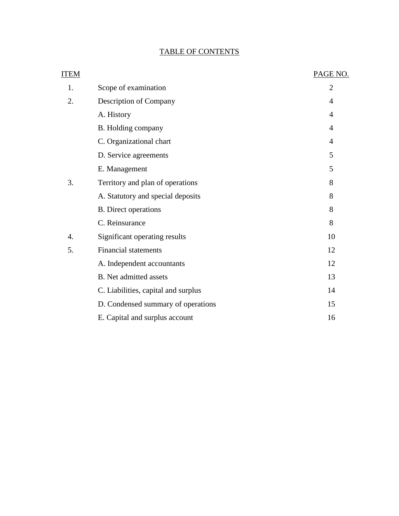## TABLE OF CONTENTS

| ITEM             |                                     | PAGE NO.       |
|------------------|-------------------------------------|----------------|
| 1.               | Scope of examination                | $\overline{2}$ |
| 2.               | Description of Company              | 4              |
|                  | A. History                          | 4              |
|                  | B. Holding company                  | $\overline{4}$ |
|                  | C. Organizational chart             | 4              |
|                  | D. Service agreements               | 5              |
|                  | E. Management                       | 5              |
| 3.               | Territory and plan of operations    | 8              |
|                  | A. Statutory and special deposits   | 8              |
|                  | <b>B.</b> Direct operations         | 8              |
|                  | C. Reinsurance                      | 8              |
| $\overline{4}$ . | Significant operating results       | 10             |
| 5.               | <b>Financial statements</b>         | 12             |
|                  | A. Independent accountants          | 12             |
|                  | <b>B.</b> Net admitted assets       | 13             |
|                  | C. Liabilities, capital and surplus | 14             |
|                  | D. Condensed summary of operations  | 15             |
|                  | E. Capital and surplus account      | 16             |
|                  |                                     |                |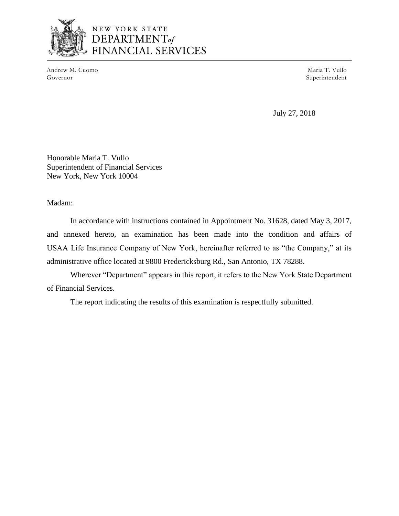

## NEW YORK STATE DEPARTMENT<sub>of</sub> **FINANCIAL SERVICES**

Andrew M. Cuomo **Maria T. Vullo** Maria T. Vullo Governor Superintendent

July 27, 2018

Honorable Maria T. Vullo Superintendent of Financial Services New York, New York 10004

Madam:

 In accordance with instructions contained in Appointment No. 31628, dated May 3, 2017, USAA Life Insurance Company of New York, hereinafter referred to as "the Company," at its and annexed hereto, an examination has been made into the condition and affairs of administrative office located at 9800 Fredericksburg Rd., San Antonio, TX 78288.

 Wherever "Department" appears in this report, it refers to the New York State Department of Financial Services.

The report indicating the results of this examination is respectfully submitted.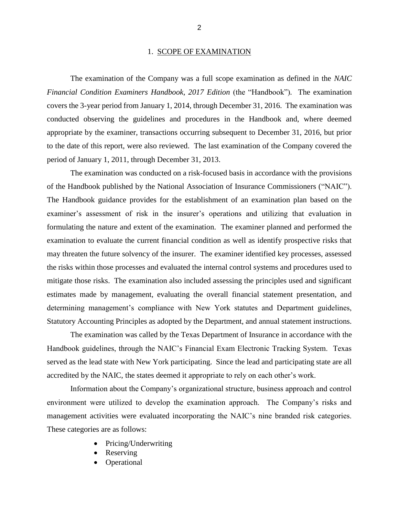#### 1. SCOPE OF EXAMINATION

 The examination of the Company was a full scope examination as defined in the *NAIC*  covers the 3-year period from January 1, 2014, through December 31, 2016. The examination was conducted observing the guidelines and procedures in the Handbook and, where deemed to the date of this report, were also reviewed. The last examination of the Company covered the *Financial Condition Examiners Handbook, 2017 Edition (the "Handbook").* The examination appropriate by the examiner, transactions occurring subsequent to December 31, 2016, but prior period of January 1, 2011, through December 31, 2013.

 examiner's assessment of risk in the insurer's operations and utilizing that evaluation in formulating the nature and extent of the examination. The examiner planned and performed the examination to evaluate the current financial condition as well as identify prospective risks that may threaten the future solvency of the insurer. The examiner identified key processes, assessed mitigate those risks. The examination also included assessing the principles used and significant estimates made by management, evaluating the overall financial statement presentation, and Statutory Accounting Principles as adopted by the Department, and annual statement instructions. The examination was conducted on a risk-focused basis in accordance with the provisions of the Handbook published by the National Association of Insurance Commissioners ("NAIC"). The Handbook guidance provides for the establishment of an examination plan based on the the risks within those processes and evaluated the internal control systems and procedures used to determining management's compliance with New York statutes and Department guidelines,

 The examination was called by the Texas Department of Insurance in accordance with the Handbook guidelines, through the NAIC's Financial Exam Electronic Tracking System. Texas served as the lead state with New York participating. Since the lead and participating state are all accredited by the NAIC, the states deemed it appropriate to rely on each other's work.

 environment were utilized to develop the examination approach. The Company's risks and management activities were evaluated incorporating the NAIC's nine branded risk categories. Information about the Company's organizational structure, business approach and control These categories are as follows:

- Pricing/Underwriting
- Reserving
- **Operational**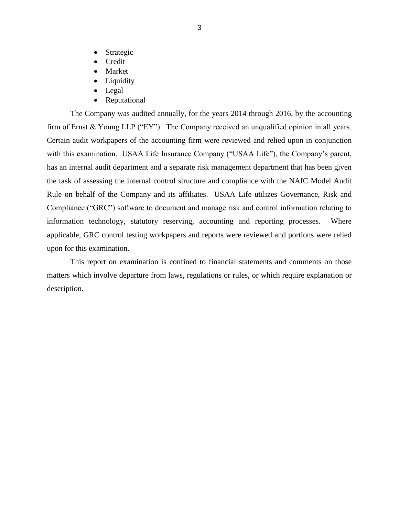- **Strategic**
- Credit
- **Market**
- **Liquidity**
- Legal
- Reputational

 The Company was audited annually, for the years 2014 through 2016, by the accounting firm of Ernst & Young LLP ("EY"). The Company received an unqualified opinion in all years. Certain audit workpapers of the accounting firm were reviewed and relied upon in conjunction with this examination. USAA Life Insurance Company ("USAA Life"), the Company's parent, has an internal audit department and a separate risk management department that has been given the task of assessing the internal control structure and compliance with the NAIC Model Audit Rule on behalf of the Company and its affiliates. USAA Life utilizes Governance, Risk and information technology, statutory reserving, accounting and reporting processes. Where applicable, GRC control testing workpapers and reports were reviewed and portions were relied Compliance ("GRC") software to document and manage risk and control information relating to upon for this examination.

 matters which involve departure from laws, regulations or rules, or which require explanation or This report on examination is confined to financial statements and comments on those description.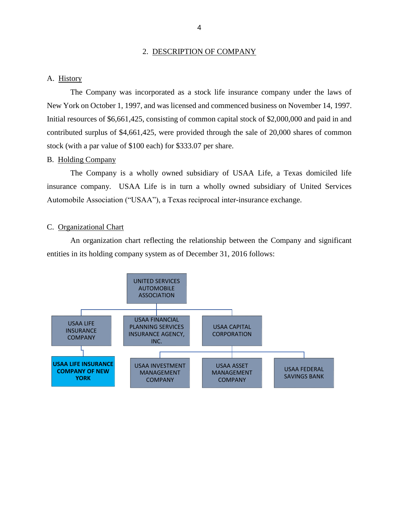#### 2. DESCRIPTION OF COMPANY

#### <span id="page-6-0"></span>A. History

 The Company was incorporated as a stock life insurance company under the laws of New York on October 1, 1997, and was licensed and commenced business on November 14, 1997. Initial resources of \$6,661,425, consisting of common capital stock of \$2,000,000 and paid in and contributed surplus of \$4,661,425, were provided through the sale of 20,000 shares of common stock (with a par value of \$100 each) for \$333.07 per share.

#### B. Holding Company

 The Company is a wholly owned subsidiary of USAA Life, a Texas domiciled life insurance company. USAA Life is in turn a wholly owned subsidiary of United Services Automobile Association ("USAA"), a Texas reciprocal inter-insurance exchange.

#### C. Organizational Chart

 An organization chart reflecting the relationship between the Company and significant entities in its holding company system as of December 31, 2016 follows:

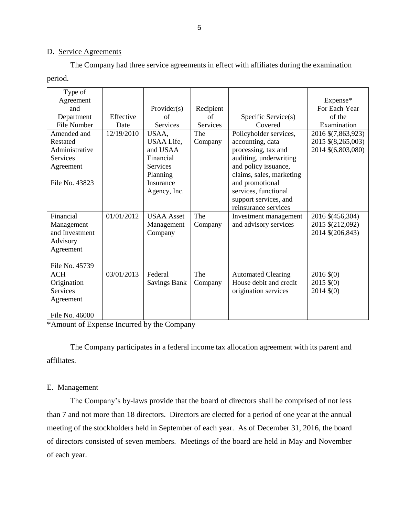#### D. Service Agreements

 The Company had three service agreements in effect with affiliates during the examination period.

| Type of            |            |                     |                 |                           |                       |
|--------------------|------------|---------------------|-----------------|---------------------------|-----------------------|
| Agreement          |            |                     |                 |                           | Expense*              |
| and                |            | Provider $(s)$      | Recipient       |                           | For Each Year         |
| Department         | Effective  | of                  | of              | Specific Service(s)       | of the                |
| <b>File Number</b> | Date       | Services            | <b>Services</b> | Covered                   | Examination           |
| Amended and        | 12/19/2010 | USAA,               | The             | Policyholder services,    | 2016 \$(7,863,923)    |
| Restated           |            | USAA Life,          | Company         | accounting, data          | 2015 \$(8,265,003)    |
| Administrative     |            | and USAA            |                 | processing, tax and       | 2014 \$(6,803,080)    |
| Services           |            | Financial           |                 | auditing, underwriting    |                       |
| Agreement          |            | Services            |                 | and policy issuance,      |                       |
|                    |            | Planning            |                 | claims, sales, marketing  |                       |
| File No. 43823     |            | Insurance           |                 | and promotional           |                       |
|                    |            | Agency, Inc.        |                 | services, functional      |                       |
|                    |            |                     |                 | support services, and     |                       |
|                    |            |                     |                 | reinsurance services      |                       |
| Financial          | 01/01/2012 | <b>USAA</b> Asset   | The             | Investment management     | 2016 \$(456,304)      |
| Management         |            | Management          | Company         | and advisory services     | 2015 \$(212,092)      |
| and Investment     |            | Company             |                 |                           | 2014 \$(206,843)      |
| Advisory           |            |                     |                 |                           |                       |
| Agreement          |            |                     |                 |                           |                       |
|                    |            |                     |                 |                           |                       |
| File No. 45739     |            |                     |                 |                           |                       |
| <b>ACH</b>         | 03/01/2013 | Federal             | The             | <b>Automated Clearing</b> | $2016 \, \$(0)$       |
| Origination        |            | <b>Savings Bank</b> | Company         | House debit and credit    | $2015 \, \text{$(0)}$ |
| <b>Services</b>    |            |                     |                 | origination services      | $2014 \, \text{$(0)}$ |
| Agreement          |            |                     |                 |                           |                       |
|                    |            |                     |                 |                           |                       |
| File No. 46000     |            |                     |                 |                           |                       |

\*Amount of Expense Incurred by the Company

 The Company participates in a federal income tax allocation agreement with its parent and affiliates.

#### E. Management

 The Company's by-laws provide that the board of directors shall be comprised of not less than 7 and not more than 18 directors. Directors are elected for a period of one year at the annual of directors consisted of seven members. Meetings of the board are held in May and November meeting of the stockholders held in September of each year. As of December 31, 2016, the board of each year.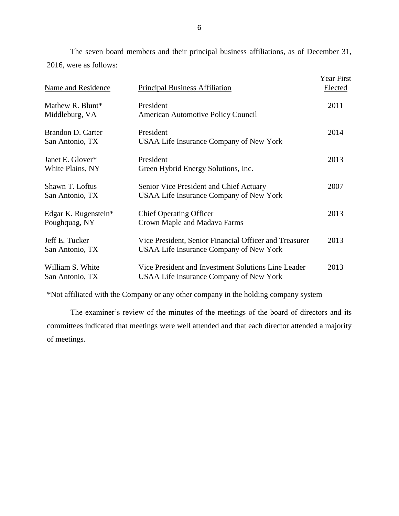2016, were as follows: The seven board members and their principal business affiliations, as of December 31,

| <b>Name and Residence</b>             | <b>Principal Business Affiliation</b>                                                                    | <b>Year First</b><br><b>Elected</b> |
|---------------------------------------|----------------------------------------------------------------------------------------------------------|-------------------------------------|
| Mathew R. Blunt*<br>Middleburg, VA    | President<br><b>American Automotive Policy Council</b>                                                   | 2011                                |
| Brandon D. Carter<br>San Antonio, TX  | President<br><b>USAA Life Insurance Company of New York</b>                                              | 2014                                |
| Janet E. Glover*<br>White Plains, NY  | President<br>Green Hybrid Energy Solutions, Inc.                                                         | 2013                                |
| Shawn T. Loftus<br>San Antonio, TX    | Senior Vice President and Chief Actuary<br><b>USAA Life Insurance Company of New York</b>                | 2007                                |
| Edgar K. Rugenstein*<br>Poughquag, NY | <b>Chief Operating Officer</b><br>Crown Maple and Madava Farms                                           | 2013                                |
| Jeff E. Tucker<br>San Antonio, TX     | Vice President, Senior Financial Officer and Treasurer<br><b>USAA Life Insurance Company of New York</b> | 2013                                |
| William S. White<br>San Antonio, TX   | Vice President and Investment Solutions Line Leader<br><b>USAA Life Insurance Company of New York</b>    | 2013                                |

\*Not affiliated with the Company or any other company in the holding company system

 committees indicated that meetings were well attended and that each director attended a majority The examiner's review of the minutes of the meetings of the board of directors and its of meetings.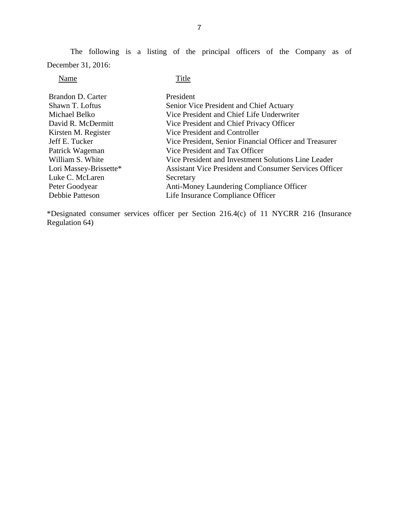The following is a listing of the principal officers of the Company as of December 31, 2016:

### Name Title

| Brandon D. Carter<br>Shawn T. Loftus<br>Michael Belko | President<br>Senior Vice President and Chief Actuary<br>Vice President and Chief Life Underwriter |
|-------------------------------------------------------|---------------------------------------------------------------------------------------------------|
| David R. McDermitt                                    | Vice President and Chief Privacy Officer                                                          |
| Kirsten M. Register                                   | Vice President and Controller                                                                     |
| Jeff E. Tucker                                        | Vice President, Senior Financial Officer and Treasurer                                            |
| Patrick Wageman                                       | Vice President and Tax Officer                                                                    |
| William S. White                                      | Vice President and Investment Solutions Line Leader                                               |
| Lori Massey-Brissette*                                | <b>Assistant Vice President and Consumer Services Officer</b>                                     |
| Luke C. McLaren                                       | Secretary                                                                                         |
| Peter Goodyear                                        | Anti-Money Laundering Compliance Officer                                                          |
| Debbie Patteson                                       | Life Insurance Compliance Officer                                                                 |

\*Designated consumer services officer per Section 216.4(c) of 11 NYCRR 216 (Insurance Regulation 64)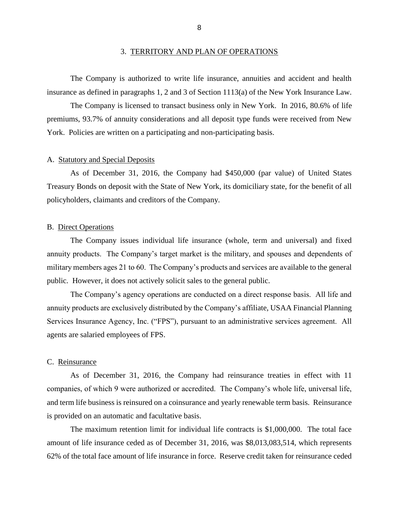<span id="page-10-0"></span> The Company is authorized to write life insurance, annuities and accident and health insurance as defined in paragraphs 1, 2 and 3 of Section 1113(a) of the New York Insurance Law.

 The Company is licensed to transact business only in New York. In 2016, 80.6% of life premiums, 93.7% of annuity considerations and all deposit type funds were received from New York. Policies are written on a participating and non-participating basis.

#### A. Statutory and Special Deposits

 Treasury Bonds on deposit with the State of New York, its domiciliary state, for the benefit of all As of December 31, 2016, the Company had \$450,000 (par value) of United States policyholders, claimants and creditors of the Company.

#### B. Direct Operations

 The Company issues individual life insurance (whole, term and universal) and fixed annuity products. The Company's target market is the military, and spouses and dependents of military members ages 21 to 60. The Company's products and services are available to the general public. However, it does not actively solicit sales to the general public.

 The Company's agency operations are conducted on a direct response basis. All life and annuity products are exclusively distributed by the Company's affiliate, USAA Financial Planning Services Insurance Agency, Inc. ("FPS"), pursuant to an administrative services agreement. All agents are salaried employees of FPS.

#### C. Reinsurance

 As of December 31, 2016, the Company had reinsurance treaties in effect with 11 companies, of which 9 were authorized or accredited. The Company's whole life, universal life, and term life business is reinsured on a coinsurance and yearly renewable term basis. Reinsurance is provided on an automatic and facultative basis.

 The maximum retention limit for individual life contracts is \$1,000,000. The total face amount of life insurance ceded as of December 31, 2016, was \$8,013,083,514, which represents 62% of the total face amount of life insurance in force. Reserve credit taken for reinsurance ceded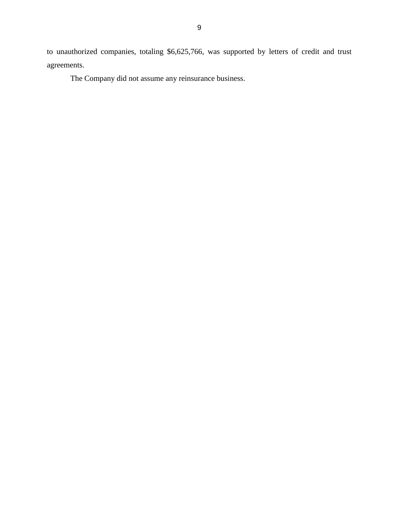to unauthorized companies, totaling \$6,625,766, was supported by letters of credit and trust agreements.

The Company did not assume any reinsurance business.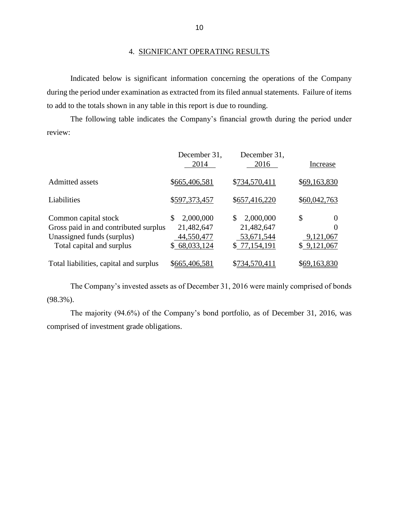#### 4. SIGNIFICANT OPERATING RESULTS

 during the period under examination as extracted from its filed annual statements. Failure of items Indicated below is significant information concerning the operations of the Company to add to the totals shown in any table in this report is due to rounding.

 The following table indicates the Company's financial growth during the period under review:

|                                                                                                                          | December 31,<br>2014                                         | December 31,<br>2016                                        | Increase                                               |
|--------------------------------------------------------------------------------------------------------------------------|--------------------------------------------------------------|-------------------------------------------------------------|--------------------------------------------------------|
| Admitted assets                                                                                                          | \$665,406,581                                                | \$734,570,411                                               | \$69,163,830                                           |
| Liabilities                                                                                                              | \$597,373,457                                                | \$657,416,220                                               | \$60,042,763                                           |
| Common capital stock<br>Gross paid in and contributed surplus<br>Unassigned funds (surplus)<br>Total capital and surplus | 2,000,000<br>\$.<br>21,482,647<br>44,550,477<br>\$68,033,124 | 2,000,000<br>\$<br>21,482,647<br>53,671,544<br>\$77,154,191 | \$<br>$\Omega$<br>$\theta$<br>9,121,067<br>\$9,121,067 |
| Total liabilities, capital and surplus                                                                                   | \$665,406,581                                                | \$734,570,411                                               | \$69,163,830                                           |

 The Company's invested assets as of December 31, 2016 were mainly comprised of bonds (98.3%).

 The majority (94.6%) of the Company's bond portfolio, as of December 31, 2016, was comprised of investment grade obligations.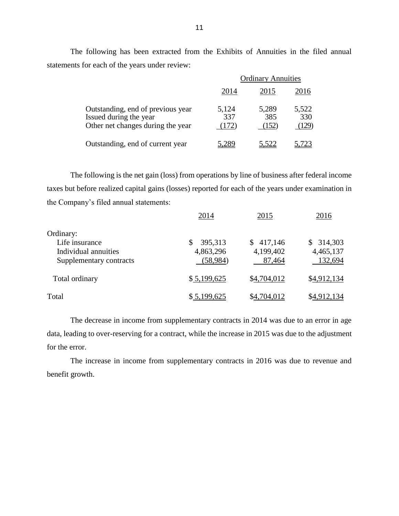The following has been extracted from the Exhibits of Annuities in the filed annual statements for each of the years under review:

|                                                                                                  | <b>Ordinary Annuities</b> |                       |                       |
|--------------------------------------------------------------------------------------------------|---------------------------|-----------------------|-----------------------|
|                                                                                                  | 2014                      | 2015                  | 2016                  |
| Outstanding, end of previous year<br>Issued during the year<br>Other net changes during the year | 5,124<br>337<br>(172)     | 5,289<br>385<br>(152) | 5,522<br>330<br>(129) |
| Outstanding, end of current year                                                                 | $28^{\circ}$              | <u>5,522</u>          | .723                  |

 The following is the net gain (loss) from operations by line of business after federal income taxes but before realized capital gains (losses) reported for each of the years under examination in the Company's filed annual statements:

|                                                                                | 2014                             | 2015                                 | 2016                              |
|--------------------------------------------------------------------------------|----------------------------------|--------------------------------------|-----------------------------------|
| Ordinary:<br>Life insurance<br>Individual annuities<br>Supplementary contracts | 395,313<br>4,863,296<br>(58,984) | 417,146<br>S.<br>4,199,402<br>87,464 | \$314,303<br>4,465,137<br>132,694 |
| Total ordinary                                                                 | \$5,199,625                      | \$4,704,012                          | \$4,912,134                       |
| Total                                                                          | \$5,199,625                      | \$4,704,012                          | \$4,912,134                       |

 The decrease in income from supplementary contracts in 2014 was due to an error in age data, leading to over-reserving for a contract, while the increase in 2015 was due to the adjustment for the error.

 The increase in income from supplementary contracts in 2016 was due to revenue and benefit growth.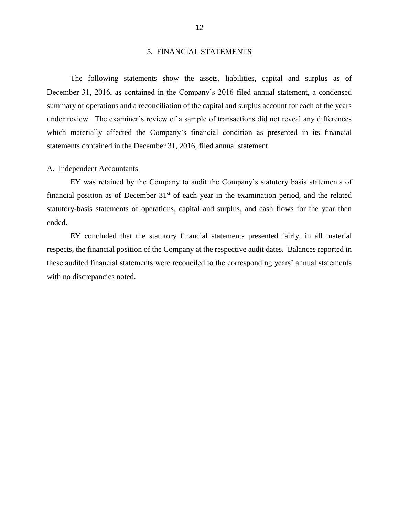#### 5. FINANCIAL STATEMENTS

<span id="page-14-0"></span> The following statements show the assets, liabilities, capital and surplus as of December 31, 2016, as contained in the Company's 2016 filed annual statement, a condensed summary of operations and a reconciliation of the capital and surplus account for each of the years under review. The examiner's review of a sample of transactions did not reveal any differences which materially affected the Company's financial condition as presented in its financial statements contained in the December 31, 2016, filed annual statement.

#### A. Independent Accountants

 EY was retained by the Company to audit the Company's statutory basis statements of financial position as of December  $31<sup>st</sup>$  of each year in the examination period, and the related statutory-basis statements of operations, capital and surplus, and cash flows for the year then ended.

 EY concluded that the statutory financial statements presented fairly, in all material respects, the financial position of the Company at the respective audit dates. Balances reported in these audited financial statements were reconciled to the corresponding years' annual statements with no discrepancies noted.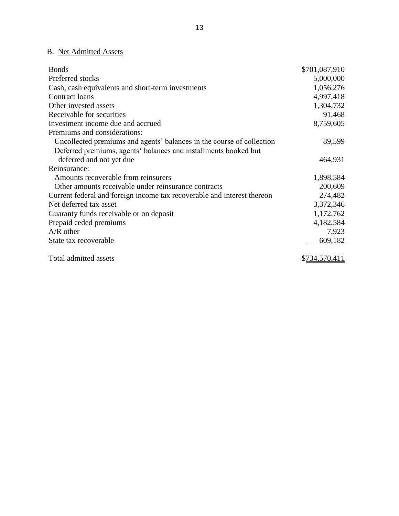## B. Net Admitted Assets

| <b>Bonds</b>                                                            | \$701,087,910 |
|-------------------------------------------------------------------------|---------------|
| Preferred stocks                                                        | 5,000,000     |
| Cash, cash equivalents and short-term investments                       | 1,056,276     |
| Contract loans                                                          | 4,997,418     |
| Other invested assets                                                   | 1,304,732     |
| Receivable for securities                                               | 91,468        |
| Investment income due and accrued                                       | 8,759,605     |
| Premiums and considerations:                                            |               |
| Uncollected premiums and agents' balances in the course of collection   | 89,599        |
| Deferred premiums, agents' balances and installments booked but         |               |
| deferred and not yet due                                                | 464,931       |
| Reinsurance:                                                            |               |
| Amounts recoverable from reinsurers                                     | 1,898,584     |
| Other amounts receivable under reinsurance contracts                    | 200,609       |
| Current federal and foreign income tax recoverable and interest thereon | 274,482       |
| Net deferred tax asset                                                  | 3,372,346     |
| Guaranty funds receivable or on deposit                                 | 1,172,762     |
| Prepaid ceded premiums                                                  | 4,182,584     |
| $A/R$ other                                                             | 7,923         |
| State tax recoverable                                                   | 609,182       |
| Total admitted assets                                                   | \$734,570,411 |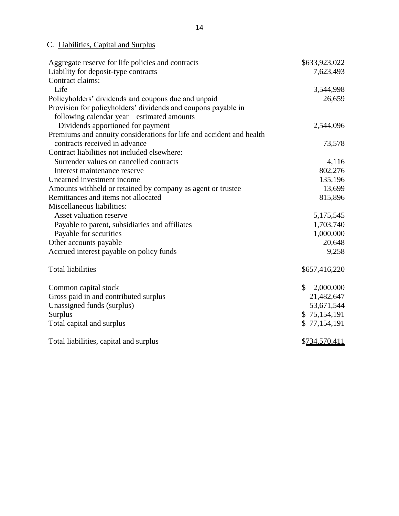C. Liabilities, Capital and Surplus

| Aggregate reserve for life policies and contracts                    | \$633,923,022             |
|----------------------------------------------------------------------|---------------------------|
| Liability for deposit-type contracts                                 | 7,623,493                 |
| Contract claims:                                                     |                           |
| Life                                                                 | 3,544,998                 |
| Policyholders' dividends and coupons due and unpaid                  | 26,659                    |
| Provision for policyholders' dividends and coupons payable in        |                           |
| following calendar year – estimated amounts                          |                           |
| Dividends apportioned for payment                                    | 2,544,096                 |
| Premiums and annuity considerations for life and accident and health |                           |
| contracts received in advance                                        | 73,578                    |
| Contract liabilities not included elsewhere:                         |                           |
| Surrender values on cancelled contracts                              | 4,116                     |
| Interest maintenance reserve                                         | 802,276                   |
| Unearned investment income                                           | 135,196                   |
| Amounts withheld or retained by company as agent or trustee          | 13,699                    |
| Remittances and items not allocated                                  | 815,896                   |
| Miscellaneous liabilities:                                           |                           |
| Asset valuation reserve                                              | 5,175,545                 |
| Payable to parent, subsidiaries and affiliates                       | 1,703,740                 |
| Payable for securities                                               | 1,000,000                 |
| Other accounts payable                                               | 20,648                    |
| Accrued interest payable on policy funds                             | 9,258                     |
| <b>Total liabilities</b>                                             | \$657,416,220             |
| Common capital stock                                                 | $\mathbb{S}$<br>2,000,000 |
| Gross paid in and contributed surplus                                | 21,482,647                |
| Unassigned funds (surplus)                                           | 53,671,544                |
| Surplus                                                              | \$75,154,191              |
| Total capital and surplus                                            | \$77,154,191              |
| Total liabilities, capital and surplus                               | \$734,570,411             |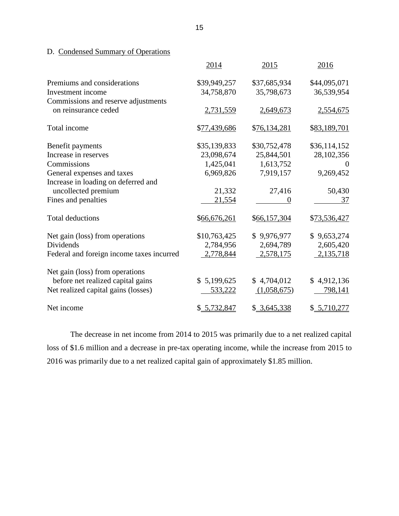D. Condensed Summary of Operations

|                                                            | 2014         | 2015         | 2016           |
|------------------------------------------------------------|--------------|--------------|----------------|
| Premiums and considerations                                | \$39,949,257 | \$37,685,934 | \$44,095,071   |
| Investment income                                          | 34,758,870   | 35,798,673   | 36,539,954     |
| Commissions and reserve adjustments                        |              |              |                |
| on reinsurance ceded                                       | 2,731,559    | 2,649,673    | 2,554,675      |
| Total income                                               | \$77,439,686 | \$76,134,281 | \$83,189,701   |
| Benefit payments                                           | \$35,139,833 | \$30,752,478 | \$36,114,152   |
| Increase in reserves                                       | 23,098,674   | 25,844,501   | 28,102,356     |
| Commissions                                                | 1,425,041    | 1,613,752    | $\theta$       |
| General expenses and taxes                                 | 6,969,826    | 7,919,157    | 9,269,452      |
| Increase in loading on deferred and<br>uncollected premium | 21,332       | 27,416       | 50,430         |
|                                                            |              |              |                |
| Fines and penalties                                        | 21,554       |              | 37             |
| <b>Total deductions</b>                                    | \$66,676,261 | \$66,157,304 | \$73,536,427   |
| Net gain (loss) from operations                            | \$10,763,425 | \$9,976,977  | \$9,653,274    |
| Dividends                                                  | 2,784,956    | 2,694,789    | 2,605,420      |
| Federal and foreign income taxes incurred                  | 2,778,844    | 2,578,175    | 2,135,718      |
| Net gain (loss) from operations                            |              |              |                |
| before net realized capital gains                          | \$5,199,625  | \$4,704,012  | \$4,912,136    |
| Net realized capital gains (losses)                        | 533,222      | (1,058,675)  | <u>798,141</u> |
| Net income                                                 | \$ 5,732,847 | \$3,645,338  | \$ 5,710,277   |

 The decrease in net income from 2014 to 2015 was primarily due to a net realized capital loss of \$1.6 million and a decrease in pre-tax operating income, while the increase from 2015 to 2016 was primarily due to a net realized capital gain of approximately \$1.85 million.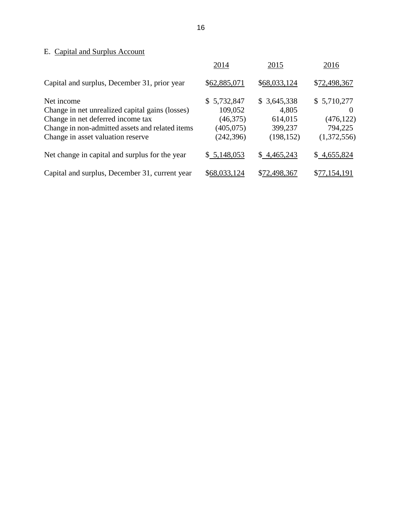## E. Capital and Surplus Account

|                                                 | 2014         | 2015         | 2016         |
|-------------------------------------------------|--------------|--------------|--------------|
| Capital and surplus, December 31, prior year    | \$62,885,071 | \$68,033,124 | \$72,498,367 |
| Net income                                      | \$5,732,847  | \$3,645,338  | \$5,710,277  |
| Change in net unrealized capital gains (losses) | 109,052      | 4,805        | $\theta$     |
| Change in net deferred income tax               | (46,375)     | 614,015      | (476, 122)   |
| Change in non-admitted assets and related items | (405, 075)   | 399,237      | 794,225      |
| Change in asset valuation reserve               | (242, 396)   | (198, 152)   | (1,372,556)  |
| Net change in capital and surplus for the year  | \$5,148,053  | \$4,465,243  | \$4,655,824  |
| Capital and surplus, December 31, current year  | \$68,033,124 | \$72,498,367 | \$77.154.191 |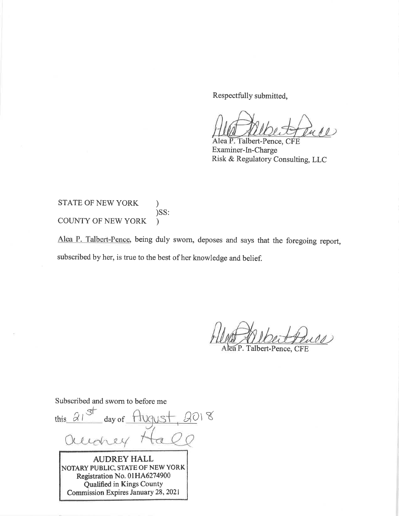Respectfully submitted,

Alea P. Talbert-Pence, CFE Examiner-In-Charge Risk & Regulatory Consulting, LLC

**STATE OF NEW YORK**  $\mathcal{E}$ )SS: COUNTY OF NEW YORK  $\lambda$ 

Alea P. Talbert-Pence, being duly sworn, deposes and says that the foregoing report, subscribed by her, is true to the best of her knowledge and belief.

 $00$ 

Alea P. Talbert-Pence, CFE

Subscribed and sworn to before me  $2018$ this  $\alpha$ day of Clebe **AUDREY HALL** NOTARY PUBLIC, STATE OF NEW YORK Registration No. 01HA6274900 Qualified in Kings County Commission Expires January 28, 2021